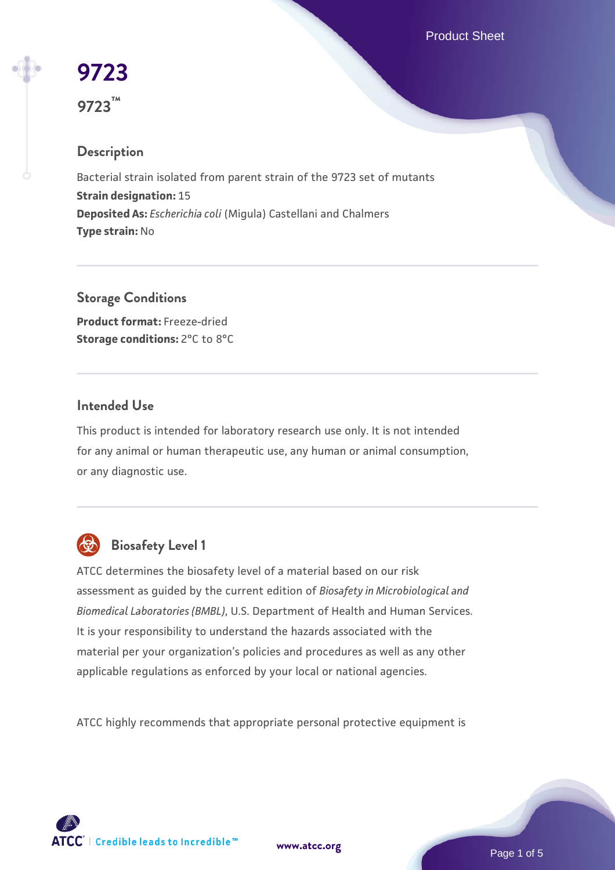Product Sheet

# **[9723](https://www.atcc.org/products/9723) 9723™**

## **Description**

Bacterial strain isolated from parent strain of the 9723 set of mutants **Strain designation:** 15 **Deposited As:** *Escherichia coli* (Migula) Castellani and Chalmers **Type strain:** No

**Storage Conditions Product format:** Freeze-dried **Storage conditions: 2°C to 8°C** 

#### **Intended Use**

This product is intended for laboratory research use only. It is not intended for any animal or human therapeutic use, any human or animal consumption, or any diagnostic use.



## **Biosafety Level 1**

ATCC determines the biosafety level of a material based on our risk assessment as guided by the current edition of *Biosafety in Microbiological and Biomedical Laboratories (BMBL)*, U.S. Department of Health and Human Services. It is your responsibility to understand the hazards associated with the material per your organization's policies and procedures as well as any other applicable regulations as enforced by your local or national agencies.

ATCC highly recommends that appropriate personal protective equipment is

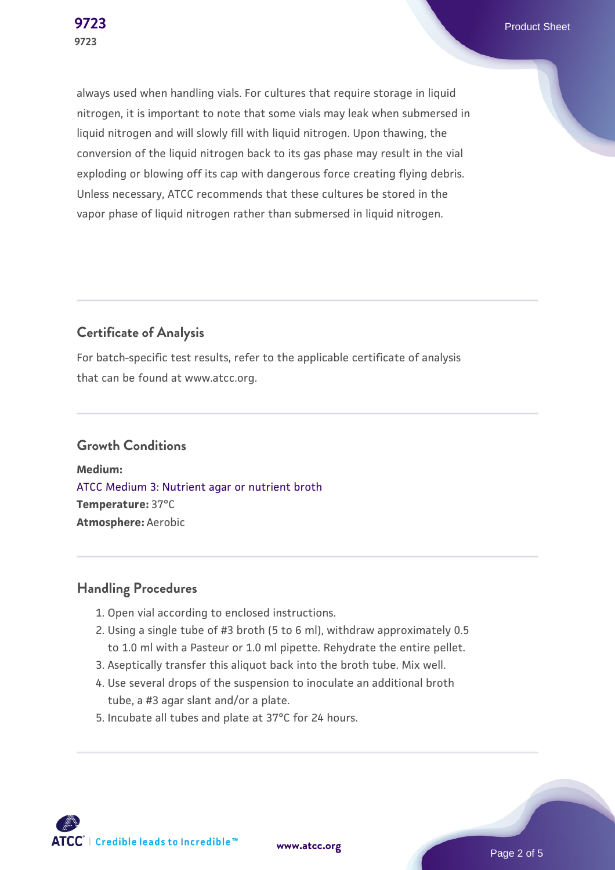always used when handling vials. For cultures that require storage in liquid nitrogen, it is important to note that some vials may leak when submersed in liquid nitrogen and will slowly fill with liquid nitrogen. Upon thawing, the conversion of the liquid nitrogen back to its gas phase may result in the vial exploding or blowing off its cap with dangerous force creating flying debris. Unless necessary, ATCC recommends that these cultures be stored in the vapor phase of liquid nitrogen rather than submersed in liquid nitrogen.

### **Certificate of Analysis**

For batch-specific test results, refer to the applicable certificate of analysis that can be found at www.atcc.org.

#### **Growth Conditions**

**Medium:**  [ATCC Medium 3: Nutrient agar or nutrient broth](https://www.atcc.org/-/media/product-assets/documents/microbial-media-formulations/3/atcc-medium-3.pdf?rev=7510837507e64d849c62a46b5b2197a1) **Temperature:** 37°C **Atmosphere:** Aerobic

#### **Handling Procedures**

- 1. Open vial according to enclosed instructions.
- 2. Using a single tube of #3 broth (5 to 6 ml), withdraw approximately 0.5 to 1.0 ml with a Pasteur or 1.0 ml pipette. Rehydrate the entire pellet.
- 3. Aseptically transfer this aliquot back into the broth tube. Mix well.
- 4. Use several drops of the suspension to inoculate an additional broth tube, a #3 agar slant and/or a plate.
- 5. Incubate all tubes and plate at 37°C for 24 hours.

**ATCC** | Credible leads to Incredible™

**[www.atcc.org](http://www.atcc.org)**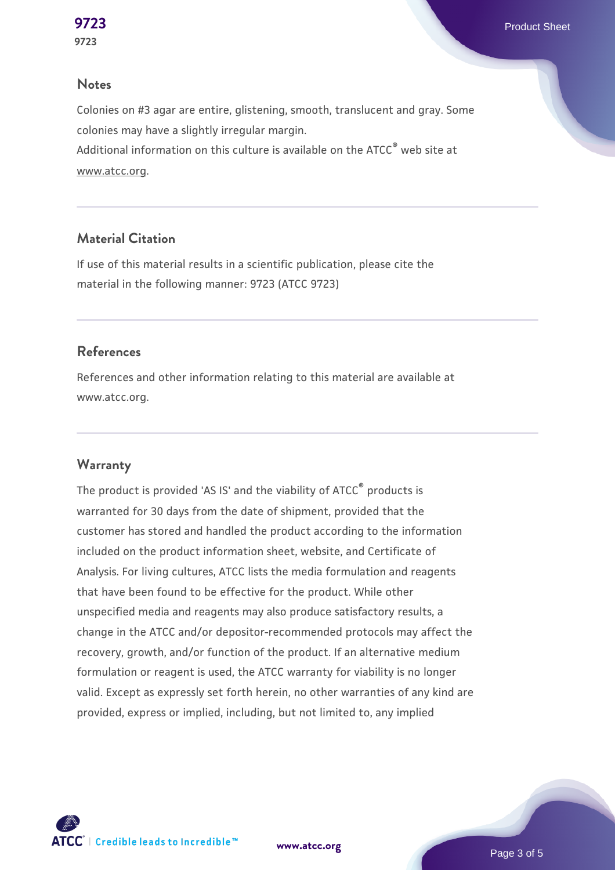#### **Notes**

Colonies on #3 agar are entire, glistening, smooth, translucent and gray. Some colonies may have a slightly irregular margin. Additional information on this culture is available on the ATCC<sup>®</sup> web site at www.atcc.org.

#### **Material Citation**

If use of this material results in a scientific publication, please cite the material in the following manner: 9723 (ATCC 9723)

#### **References**

References and other information relating to this material are available at www.atcc.org.

#### **Warranty**

The product is provided 'AS IS' and the viability of ATCC<sup>®</sup> products is warranted for 30 days from the date of shipment, provided that the customer has stored and handled the product according to the information included on the product information sheet, website, and Certificate of Analysis. For living cultures, ATCC lists the media formulation and reagents that have been found to be effective for the product. While other unspecified media and reagents may also produce satisfactory results, a change in the ATCC and/or depositor-recommended protocols may affect the recovery, growth, and/or function of the product. If an alternative medium formulation or reagent is used, the ATCC warranty for viability is no longer valid. Except as expressly set forth herein, no other warranties of any kind are provided, express or implied, including, but not limited to, any implied



**[www.atcc.org](http://www.atcc.org)**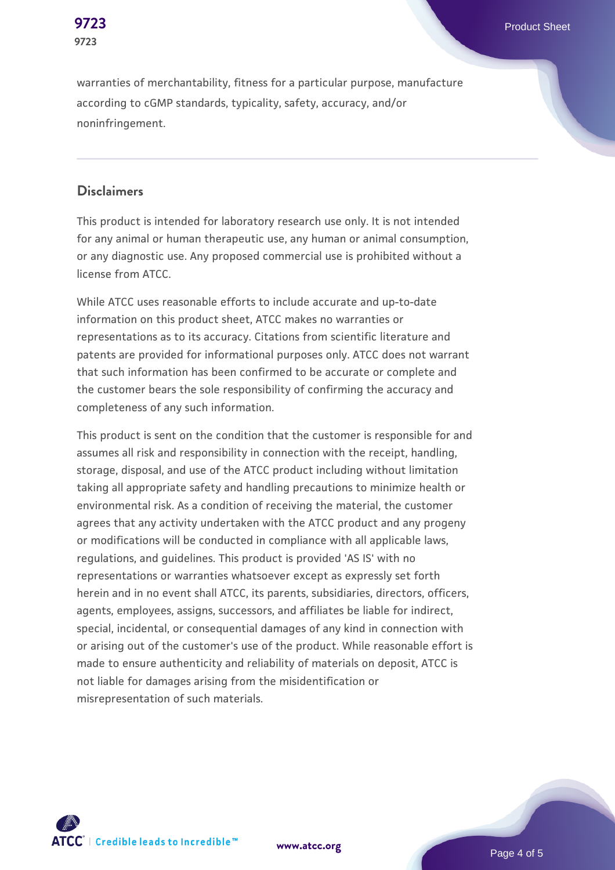warranties of merchantability, fitness for a particular purpose, manufacture according to cGMP standards, typicality, safety, accuracy, and/or noninfringement.

#### **Disclaimers**

This product is intended for laboratory research use only. It is not intended for any animal or human therapeutic use, any human or animal consumption, or any diagnostic use. Any proposed commercial use is prohibited without a license from ATCC.

While ATCC uses reasonable efforts to include accurate and up-to-date information on this product sheet, ATCC makes no warranties or representations as to its accuracy. Citations from scientific literature and patents are provided for informational purposes only. ATCC does not warrant that such information has been confirmed to be accurate or complete and the customer bears the sole responsibility of confirming the accuracy and completeness of any such information.

This product is sent on the condition that the customer is responsible for and assumes all risk and responsibility in connection with the receipt, handling, storage, disposal, and use of the ATCC product including without limitation taking all appropriate safety and handling precautions to minimize health or environmental risk. As a condition of receiving the material, the customer agrees that any activity undertaken with the ATCC product and any progeny or modifications will be conducted in compliance with all applicable laws, regulations, and guidelines. This product is provided 'AS IS' with no representations or warranties whatsoever except as expressly set forth herein and in no event shall ATCC, its parents, subsidiaries, directors, officers, agents, employees, assigns, successors, and affiliates be liable for indirect, special, incidental, or consequential damages of any kind in connection with or arising out of the customer's use of the product. While reasonable effort is made to ensure authenticity and reliability of materials on deposit, ATCC is not liable for damages arising from the misidentification or misrepresentation of such materials.



**[www.atcc.org](http://www.atcc.org)**

Page 4 of 5